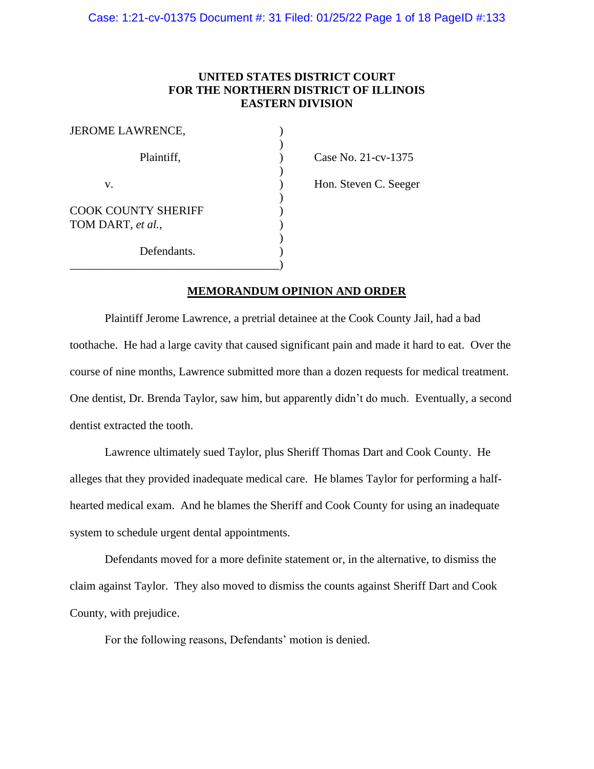# **UNITED STATES DISTRICT COURT FOR THE NORTHERN DISTRICT OF ILLINOIS EASTERN DIVISION**

| <b>JEROME LAWRENCE,</b>                         |  |
|-------------------------------------------------|--|
| Plaintiff,                                      |  |
| V.                                              |  |
| <b>COOK COUNTY SHERIFF</b><br>TOM DART, et al., |  |
| Defendants.                                     |  |

Case No. 21-cv-1375

Hon. Steven C. Seeger

## **MEMORANDUM OPINION AND ORDER**

Plaintiff Jerome Lawrence, a pretrial detainee at the Cook County Jail, had a bad toothache. He had a large cavity that caused significant pain and made it hard to eat. Over the course of nine months, Lawrence submitted more than a dozen requests for medical treatment. One dentist, Dr. Brenda Taylor, saw him, but apparently didn't do much. Eventually, a second dentist extracted the tooth.

Lawrence ultimately sued Taylor, plus Sheriff Thomas Dart and Cook County. He alleges that they provided inadequate medical care. He blames Taylor for performing a halfhearted medical exam. And he blames the Sheriff and Cook County for using an inadequate system to schedule urgent dental appointments.

Defendants moved for a more definite statement or, in the alternative, to dismiss the claim against Taylor. They also moved to dismiss the counts against Sheriff Dart and Cook County, with prejudice.

For the following reasons, Defendants' motion is denied.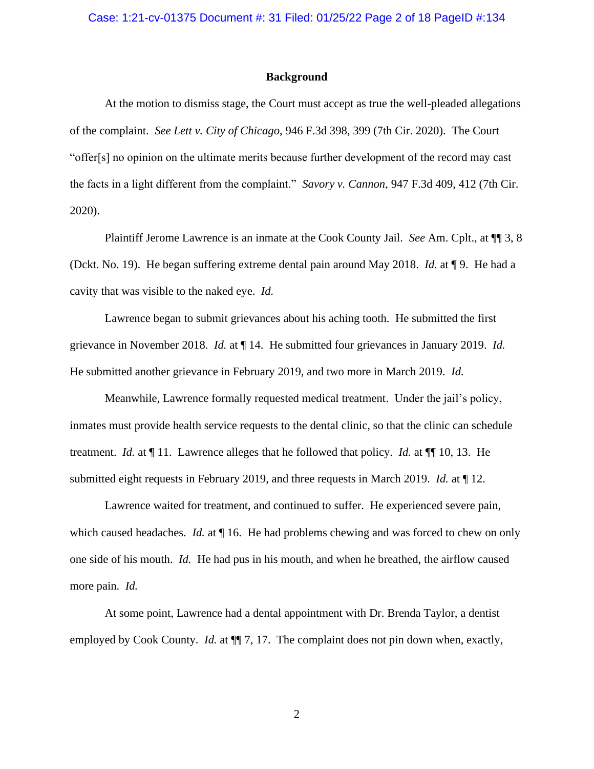#### **Background**

At the motion to dismiss stage, the Court must accept as true the well-pleaded allegations of the complaint. *See Lett v. City of Chicago*, 946 F.3d 398, 399 (7th Cir. 2020). The Court "offer[s] no opinion on the ultimate merits because further development of the record may cast the facts in a light different from the complaint." *Savory v. Cannon*, 947 F.3d 409, 412 (7th Cir. 2020).

Plaintiff Jerome Lawrence is an inmate at the Cook County Jail. *See* Am. Cplt., at ¶¶ 3, 8 (Dckt. No. 19). He began suffering extreme dental pain around May 2018. *Id.* at ¶ 9. He had a cavity that was visible to the naked eye. *Id.*

Lawrence began to submit grievances about his aching tooth. He submitted the first grievance in November 2018. *Id.* at ¶ 14. He submitted four grievances in January 2019. *Id.* He submitted another grievance in February 2019, and two more in March 2019. *Id.*

Meanwhile, Lawrence formally requested medical treatment. Under the jail's policy, inmates must provide health service requests to the dental clinic, so that the clinic can schedule treatment. *Id.* at ¶ 11. Lawrence alleges that he followed that policy. *Id.* at ¶¶ 10, 13. He submitted eight requests in February 2019, and three requests in March 2019. *Id.* at ¶ 12.

Lawrence waited for treatment, and continued to suffer. He experienced severe pain, which caused headaches. *Id.* at  $\P$  16. He had problems chewing and was forced to chew on only one side of his mouth. *Id.* He had pus in his mouth, and when he breathed, the airflow caused more pain. *Id.*

At some point, Lawrence had a dental appointment with Dr. Brenda Taylor, a dentist employed by Cook County. *Id.* at  $\P$  7, 17. The complaint does not pin down when, exactly,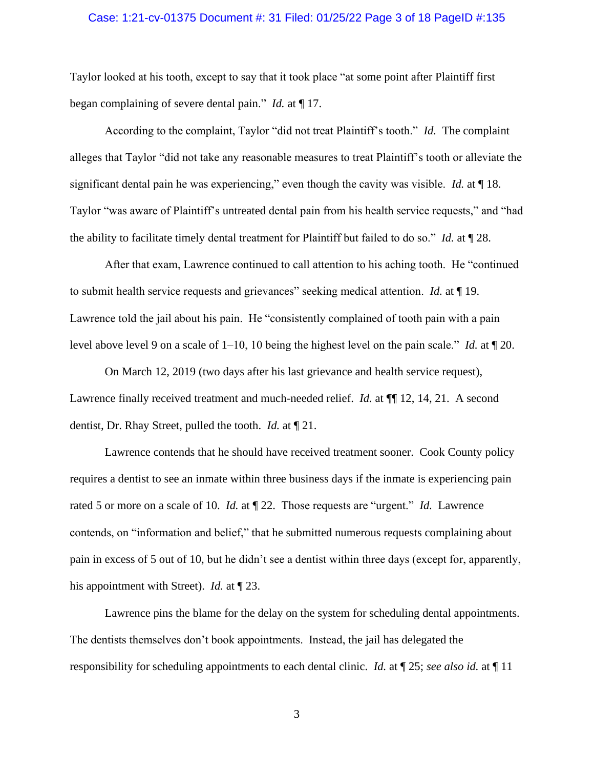#### Case: 1:21-cv-01375 Document #: 31 Filed: 01/25/22 Page 3 of 18 PageID #:135

Taylor looked at his tooth, except to say that it took place "at some point after Plaintiff first began complaining of severe dental pain." *Id.* at ¶ 17.

According to the complaint, Taylor "did not treat Plaintiff's tooth." *Id.* The complaint alleges that Taylor "did not take any reasonable measures to treat Plaintiff's tooth or alleviate the significant dental pain he was experiencing," even though the cavity was visible. *Id.* at ¶ 18. Taylor "was aware of Plaintiff's untreated dental pain from his health service requests," and "had the ability to facilitate timely dental treatment for Plaintiff but failed to do so." *Id.* at ¶ 28.

After that exam, Lawrence continued to call attention to his aching tooth. He "continued to submit health service requests and grievances" seeking medical attention. *Id.* at ¶ 19. Lawrence told the jail about his pain. He "consistently complained of tooth pain with a pain level above level 9 on a scale of 1–10, 10 being the highest level on the pain scale." *Id.* at ¶ 20.

On March 12, 2019 (two days after his last grievance and health service request), Lawrence finally received treatment and much-needed relief. *Id.* at  $\P$  12, 14, 21. A second dentist, Dr. Rhay Street, pulled the tooth. *Id.* at ¶ 21.

Lawrence contends that he should have received treatment sooner. Cook County policy requires a dentist to see an inmate within three business days if the inmate is experiencing pain rated 5 or more on a scale of 10. *Id.* at ¶ 22. Those requests are "urgent." *Id.* Lawrence contends, on "information and belief," that he submitted numerous requests complaining about pain in excess of 5 out of 10, but he didn't see a dentist within three days (except for, apparently, his appointment with Street). *Id.* at ¶ 23.

Lawrence pins the blame for the delay on the system for scheduling dental appointments. The dentists themselves don't book appointments. Instead, the jail has delegated the responsibility for scheduling appointments to each dental clinic. *Id.* at ¶ 25; *see also id.* at ¶ 11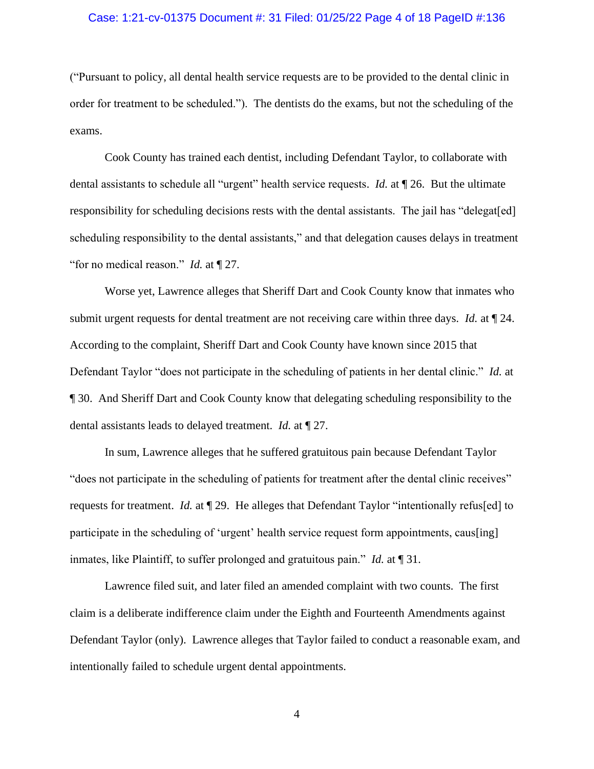### Case: 1:21-cv-01375 Document #: 31 Filed: 01/25/22 Page 4 of 18 PageID #:136

("Pursuant to policy, all dental health service requests are to be provided to the dental clinic in order for treatment to be scheduled."). The dentists do the exams, but not the scheduling of the exams.

Cook County has trained each dentist, including Defendant Taylor, to collaborate with dental assistants to schedule all "urgent" health service requests. *Id.* at ¶ 26. But the ultimate responsibility for scheduling decisions rests with the dental assistants. The jail has "delegat[ed] scheduling responsibility to the dental assistants," and that delegation causes delays in treatment "for no medical reason." *Id.* at ¶ 27.

Worse yet, Lawrence alleges that Sheriff Dart and Cook County know that inmates who submit urgent requests for dental treatment are not receiving care within three days. *Id.* at ¶ 24. According to the complaint, Sheriff Dart and Cook County have known since 2015 that Defendant Taylor "does not participate in the scheduling of patients in her dental clinic." *Id.* at ¶ 30. And Sheriff Dart and Cook County know that delegating scheduling responsibility to the dental assistants leads to delayed treatment. *Id.* at ¶ 27.

In sum, Lawrence alleges that he suffered gratuitous pain because Defendant Taylor "does not participate in the scheduling of patients for treatment after the dental clinic receives" requests for treatment. *Id.* at ¶ 29. He alleges that Defendant Taylor "intentionally refus[ed] to participate in the scheduling of 'urgent' health service request form appointments, caus[ing] inmates, like Plaintiff, to suffer prolonged and gratuitous pain." *Id.* at ¶ 31.

Lawrence filed suit, and later filed an amended complaint with two counts. The first claim is a deliberate indifference claim under the Eighth and Fourteenth Amendments against Defendant Taylor (only). Lawrence alleges that Taylor failed to conduct a reasonable exam, and intentionally failed to schedule urgent dental appointments.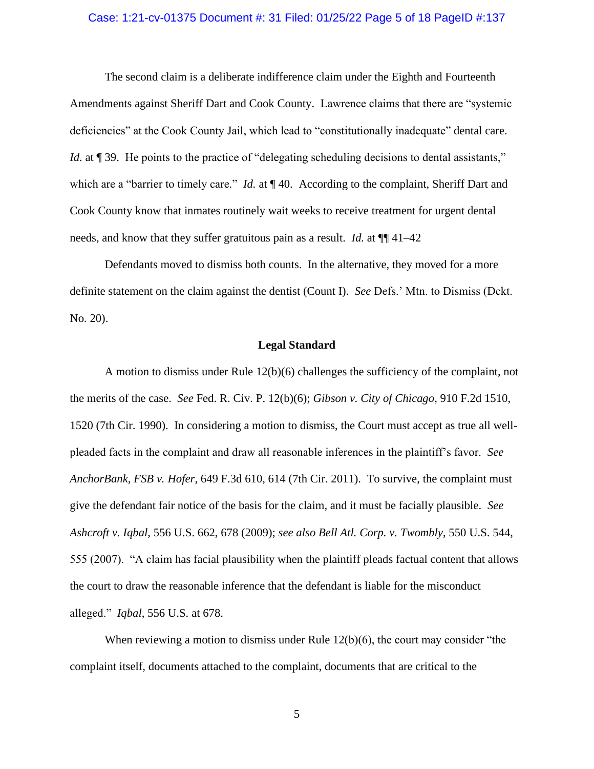### Case: 1:21-cv-01375 Document #: 31 Filed: 01/25/22 Page 5 of 18 PageID #:137

The second claim is a deliberate indifference claim under the Eighth and Fourteenth Amendments against Sheriff Dart and Cook County. Lawrence claims that there are "systemic deficiencies" at the Cook County Jail, which lead to "constitutionally inadequate" dental care. *Id.* at ¶ 39. He points to the practice of "delegating scheduling decisions to dental assistants," which are a "barrier to timely care." *Id.* at  $\P$  40. According to the complaint, Sheriff Dart and Cook County know that inmates routinely wait weeks to receive treatment for urgent dental needs, and know that they suffer gratuitous pain as a result. *Id.* at ¶¶ 41–42

Defendants moved to dismiss both counts. In the alternative, they moved for a more definite statement on the claim against the dentist (Count I). *See* Defs.' Mtn. to Dismiss (Dckt. No. 20).

### **Legal Standard**

A motion to dismiss under Rule 12(b)(6) challenges the sufficiency of the complaint, not the merits of the case. *See* Fed. R. Civ. P. 12(b)(6); *Gibson v. City of Chicago*, 910 F.2d 1510, 1520 (7th Cir. 1990). In considering a motion to dismiss, the Court must accept as true all wellpleaded facts in the complaint and draw all reasonable inferences in the plaintiff's favor. *See AnchorBank, FSB v. Hofer*, 649 F.3d 610, 614 (7th Cir. 2011). To survive, the complaint must give the defendant fair notice of the basis for the claim, and it must be facially plausible. *See Ashcroft v. Iqbal*, 556 U.S. 662, 678 (2009); *see also Bell Atl. Corp. v. Twombly*, 550 U.S. 544, 555 (2007). "A claim has facial plausibility when the plaintiff pleads factual content that allows the court to draw the reasonable inference that the defendant is liable for the misconduct alleged." *Iqbal*, 556 U.S. at 678.

When reviewing a motion to dismiss under Rule 12(b)(6), the court may consider "the complaint itself, documents attached to the complaint, documents that are critical to the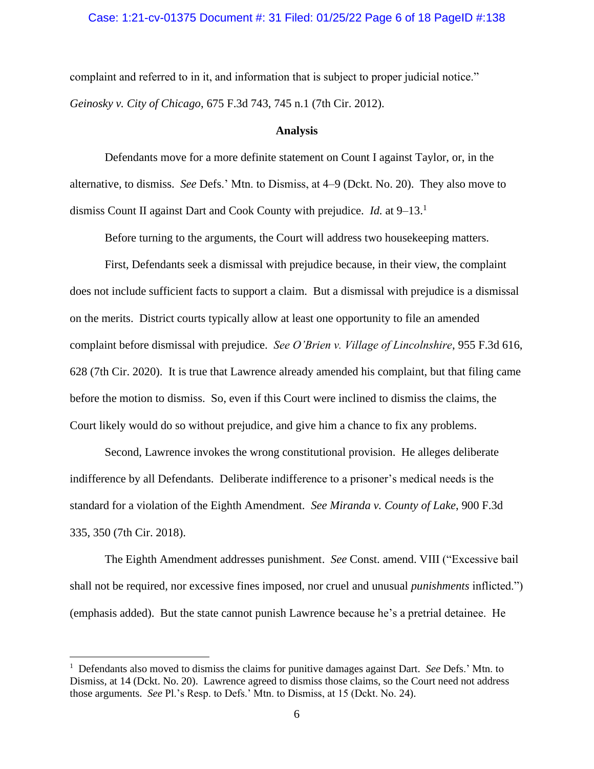#### Case: 1:21-cv-01375 Document #: 31 Filed: 01/25/22 Page 6 of 18 PageID #:138

complaint and referred to in it, and information that is subject to proper judicial notice." *Geinosky v. City of Chicago*, 675 F.3d 743, 745 n.1 (7th Cir. 2012).

#### **Analysis**

Defendants move for a more definite statement on Count I against Taylor, or, in the alternative, to dismiss. *See* Defs.' Mtn. to Dismiss, at 4–9 (Dckt. No. 20). They also move to dismiss Count II against Dart and Cook County with prejudice. *Id.* at 9–13.<sup>1</sup>

Before turning to the arguments, the Court will address two housekeeping matters.

First, Defendants seek a dismissal with prejudice because, in their view, the complaint does not include sufficient facts to support a claim. But a dismissal with prejudice is a dismissal on the merits. District courts typically allow at least one opportunity to file an amended complaint before dismissal with prejudice. *See O'Brien v. Village of Lincolnshire*, 955 F.3d 616, 628 (7th Cir. 2020). It is true that Lawrence already amended his complaint, but that filing came before the motion to dismiss. So, even if this Court were inclined to dismiss the claims, the Court likely would do so without prejudice, and give him a chance to fix any problems.

Second, Lawrence invokes the wrong constitutional provision. He alleges deliberate indifference by all Defendants. Deliberate indifference to a prisoner's medical needs is the standard for a violation of the Eighth Amendment. *See Miranda v. County of Lake*, 900 F.3d 335, 350 (7th Cir. 2018).

The Eighth Amendment addresses punishment. *See* Const. amend. VIII ("Excessive bail shall not be required, nor excessive fines imposed, nor cruel and unusual *punishments* inflicted.") (emphasis added). But the state cannot punish Lawrence because he's a pretrial detainee. He

<sup>&</sup>lt;sup>1</sup> Defendants also moved to dismiss the claims for punitive damages against Dart. *See* Defs.' Mtn. to Dismiss, at 14 (Dckt. No. 20). Lawrence agreed to dismiss those claims, so the Court need not address those arguments. *See* Pl.'s Resp. to Defs.' Mtn. to Dismiss, at 15 (Dckt. No. 24).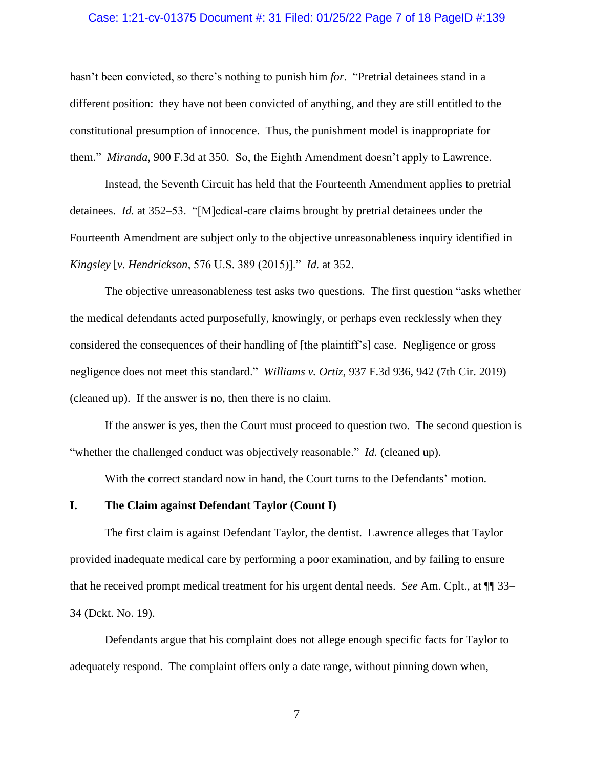#### Case: 1:21-cv-01375 Document #: 31 Filed: 01/25/22 Page 7 of 18 PageID #:139

hasn't been convicted, so there's nothing to punish him *for*. "Pretrial detainees stand in a different position: they have not been convicted of anything, and they are still entitled to the constitutional presumption of innocence. Thus, the punishment model is inappropriate for them." *Miranda*, 900 F.3d at 350. So, the Eighth Amendment doesn't apply to Lawrence.

Instead, the Seventh Circuit has held that the Fourteenth Amendment applies to pretrial detainees. *Id.* at 352–53. "[M]edical-care claims brought by pretrial detainees under the Fourteenth Amendment are subject only to the objective unreasonableness inquiry identified in *Kingsley* [*v. Hendrickson*, 576 U.S. 389 (2015)]." *Id.* at 352.

The objective unreasonableness test asks two questions. The first question "asks whether the medical defendants acted purposefully, knowingly, or perhaps even recklessly when they considered the consequences of their handling of [the plaintiff's] case. Negligence or gross negligence does not meet this standard." *Williams v. Ortiz*, 937 F.3d 936, 942 (7th Cir. 2019) (cleaned up). If the answer is no, then there is no claim.

If the answer is yes, then the Court must proceed to question two. The second question is "whether the challenged conduct was objectively reasonable." *Id.* (cleaned up).

With the correct standard now in hand, the Court turns to the Defendants' motion.

## **I. The Claim against Defendant Taylor (Count I)**

The first claim is against Defendant Taylor, the dentist. Lawrence alleges that Taylor provided inadequate medical care by performing a poor examination, and by failing to ensure that he received prompt medical treatment for his urgent dental needs. *See* Am. Cplt., at ¶¶ 33– 34 (Dckt. No. 19).

Defendants argue that his complaint does not allege enough specific facts for Taylor to adequately respond. The complaint offers only a date range, without pinning down when,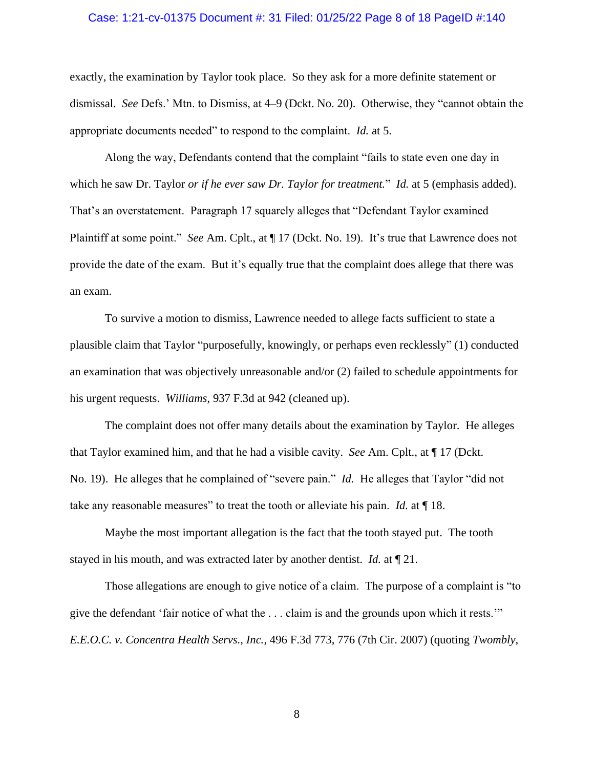#### Case: 1:21-cv-01375 Document #: 31 Filed: 01/25/22 Page 8 of 18 PageID #:140

exactly, the examination by Taylor took place. So they ask for a more definite statement or dismissal. *See* Defs.' Mtn. to Dismiss, at 4–9 (Dckt. No. 20). Otherwise, they "cannot obtain the appropriate documents needed" to respond to the complaint. *Id.* at 5.

Along the way, Defendants contend that the complaint "fails to state even one day in which he saw Dr. Taylor *or if he ever saw Dr. Taylor for treatment.*" *Id.* at 5 (emphasis added). That's an overstatement. Paragraph 17 squarely alleges that "Defendant Taylor examined Plaintiff at some point." *See* Am. Cplt., at ¶ 17 (Dckt. No. 19). It's true that Lawrence does not provide the date of the exam. But it's equally true that the complaint does allege that there was an exam.

To survive a motion to dismiss, Lawrence needed to allege facts sufficient to state a plausible claim that Taylor "purposefully, knowingly, or perhaps even recklessly" (1) conducted an examination that was objectively unreasonable and/or (2) failed to schedule appointments for his urgent requests. *Williams*, 937 F.3d at 942 (cleaned up).

The complaint does not offer many details about the examination by Taylor. He alleges that Taylor examined him, and that he had a visible cavity. *See* Am. Cplt., at ¶ 17 (Dckt. No. 19). He alleges that he complained of "severe pain." *Id.* He alleges that Taylor "did not take any reasonable measures" to treat the tooth or alleviate his pain. *Id.* at ¶ 18.

Maybe the most important allegation is the fact that the tooth stayed put. The tooth stayed in his mouth, and was extracted later by another dentist. *Id.* at ¶ 21.

Those allegations are enough to give notice of a claim. The purpose of a complaint is "to give the defendant 'fair notice of what the . . . claim is and the grounds upon which it rests.'" *E.E.O.C. v. Concentra Health Servs., Inc.*, 496 F.3d 773, 776 (7th Cir. 2007) (quoting *Twombly*,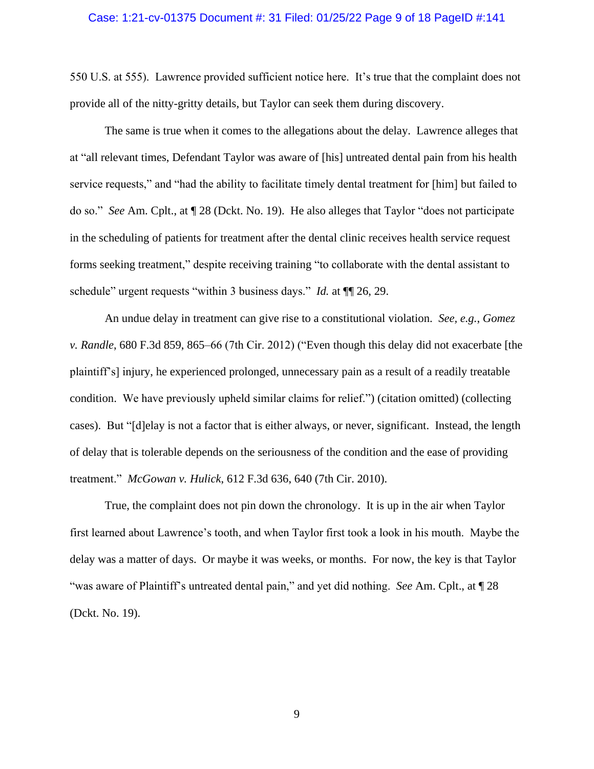#### Case: 1:21-cv-01375 Document #: 31 Filed: 01/25/22 Page 9 of 18 PageID #:141

550 U.S. at 555). Lawrence provided sufficient notice here. It's true that the complaint does not provide all of the nitty-gritty details, but Taylor can seek them during discovery.

The same is true when it comes to the allegations about the delay. Lawrence alleges that at "all relevant times, Defendant Taylor was aware of [his] untreated dental pain from his health service requests," and "had the ability to facilitate timely dental treatment for [him] but failed to do so." *See* Am. Cplt., at ¶ 28 (Dckt. No. 19). He also alleges that Taylor "does not participate in the scheduling of patients for treatment after the dental clinic receives health service request forms seeking treatment," despite receiving training "to collaborate with the dental assistant to schedule" urgent requests "within 3 business days." *Id.* at  $\P$ [26, 29.

An undue delay in treatment can give rise to a constitutional violation. *See, e.g.*, *Gomez v. Randle*, 680 F.3d 859, 865–66 (7th Cir. 2012) ("Even though this delay did not exacerbate [the plaintiff's] injury, he experienced prolonged, unnecessary pain as a result of a readily treatable condition. We have previously upheld similar claims for relief.") (citation omitted) (collecting cases). But "[d]elay is not a factor that is either always, or never, significant. Instead, the length of delay that is tolerable depends on the seriousness of the condition and the ease of providing treatment." *McGowan v. Hulick*, 612 F.3d 636, 640 (7th Cir. 2010).

True, the complaint does not pin down the chronology. It is up in the air when Taylor first learned about Lawrence's tooth, and when Taylor first took a look in his mouth. Maybe the delay was a matter of days. Or maybe it was weeks, or months. For now, the key is that Taylor "was aware of Plaintiff's untreated dental pain," and yet did nothing. *See* Am. Cplt., at ¶ 28 (Dckt. No. 19).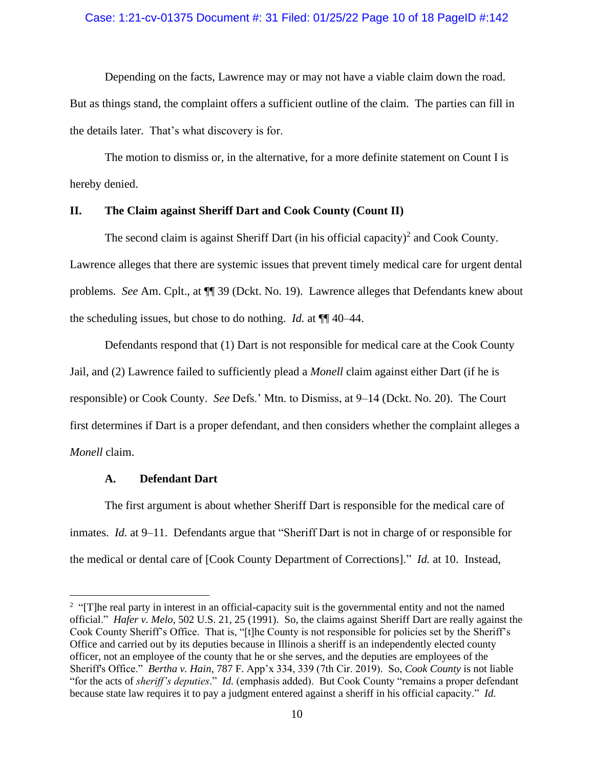## Case: 1:21-cv-01375 Document #: 31 Filed: 01/25/22 Page 10 of 18 PageID #:142

Depending on the facts, Lawrence may or may not have a viable claim down the road.

But as things stand, the complaint offers a sufficient outline of the claim. The parties can fill in the details later. That's what discovery is for.

The motion to dismiss or, in the alternative, for a more definite statement on Count I is hereby denied.

## **II. The Claim against Sheriff Dart and Cook County (Count II)**

The second claim is against Sheriff Dart (in his official capacity)<sup>2</sup> and Cook County. Lawrence alleges that there are systemic issues that prevent timely medical care for urgent dental problems. *See* Am. Cplt., at ¶¶ 39 (Dckt. No. 19). Lawrence alleges that Defendants knew about the scheduling issues, but chose to do nothing. *Id.* at ¶¶ 40–44.

Defendants respond that (1) Dart is not responsible for medical care at the Cook County Jail, and (2) Lawrence failed to sufficiently plead a *Monell* claim against either Dart (if he is responsible) or Cook County. *See* Defs.' Mtn. to Dismiss, at 9–14 (Dckt. No. 20). The Court first determines if Dart is a proper defendant, and then considers whether the complaint alleges a *Monell* claim.

## **A. Defendant Dart**

The first argument is about whether Sheriff Dart is responsible for the medical care of inmates. *Id.* at 9–11. Defendants argue that "Sheriff Dart is not in charge of or responsible for the medical or dental care of [Cook County Department of Corrections]." *Id.* at 10. Instead,

<sup>&</sup>lt;sup>2</sup> "[T]he real party in interest in an official-capacity suit is the governmental entity and not the named official." *Hafer v. Melo*, 502 U.S. 21, 25 (1991). So, the claims against Sheriff Dart are really against the Cook County Sheriff's Office. That is, "[t]he County is not responsible for policies set by the Sheriff's Office and carried out by its deputies because in Illinois a sheriff is an independently elected county officer, not an employee of the county that he or she serves, and the deputies are employees of the Sheriff's Office." *Bertha v. Hain*, 787 F. App'x 334, 339 (7th Cir. 2019). So, *Cook County* is not liable "for the acts of *sheriff's deputies*." *Id.* (emphasis added). But Cook County "remains a proper defendant because state law requires it to pay a judgment entered against a sheriff in his official capacity." *Id.*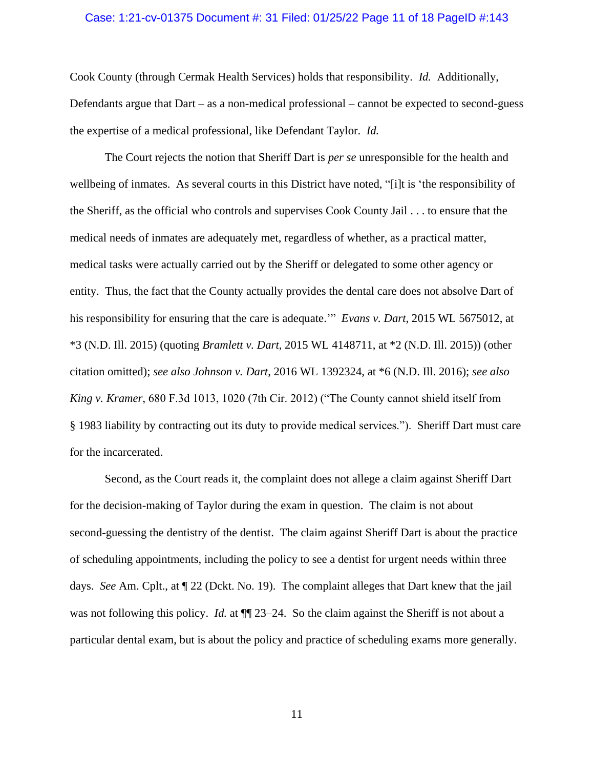#### Case: 1:21-cv-01375 Document #: 31 Filed: 01/25/22 Page 11 of 18 PageID #:143

Cook County (through Cermak Health Services) holds that responsibility. *Id.* Additionally, Defendants argue that Dart – as a non-medical professional – cannot be expected to second-guess the expertise of a medical professional, like Defendant Taylor. *Id.*

The Court rejects the notion that Sheriff Dart is *per se* unresponsible for the health and wellbeing of inmates. As several courts in this District have noted, "[i]t is 'the responsibility of the Sheriff, as the official who controls and supervises Cook County Jail . . . to ensure that the medical needs of inmates are adequately met, regardless of whether, as a practical matter, medical tasks were actually carried out by the Sheriff or delegated to some other agency or entity. Thus, the fact that the County actually provides the dental care does not absolve Dart of his responsibility for ensuring that the care is adequate.'" *Evans v. Dart*, 2015 WL 5675012, at \*3 (N.D. Ill. 2015) (quoting *Bramlett v. Dart*, 2015 WL 4148711, at \*2 (N.D. Ill. 2015)) (other citation omitted); *see also Johnson v. Dart*, 2016 WL 1392324, at \*6 (N.D. Ill. 2016); *see also King v. Kramer*, 680 F.3d 1013, 1020 (7th Cir. 2012) ("The County cannot shield itself from § 1983 liability by contracting out its duty to provide medical services."). Sheriff Dart must care for the incarcerated.

Second, as the Court reads it, the complaint does not allege a claim against Sheriff Dart for the decision-making of Taylor during the exam in question. The claim is not about second-guessing the dentistry of the dentist. The claim against Sheriff Dart is about the practice of scheduling appointments, including the policy to see a dentist for urgent needs within three days. *See* Am. Cplt., at ¶ 22 (Dckt. No. 19). The complaint alleges that Dart knew that the jail was not following this policy. *Id.* at  $\P$  23–24. So the claim against the Sheriff is not about a particular dental exam, but is about the policy and practice of scheduling exams more generally.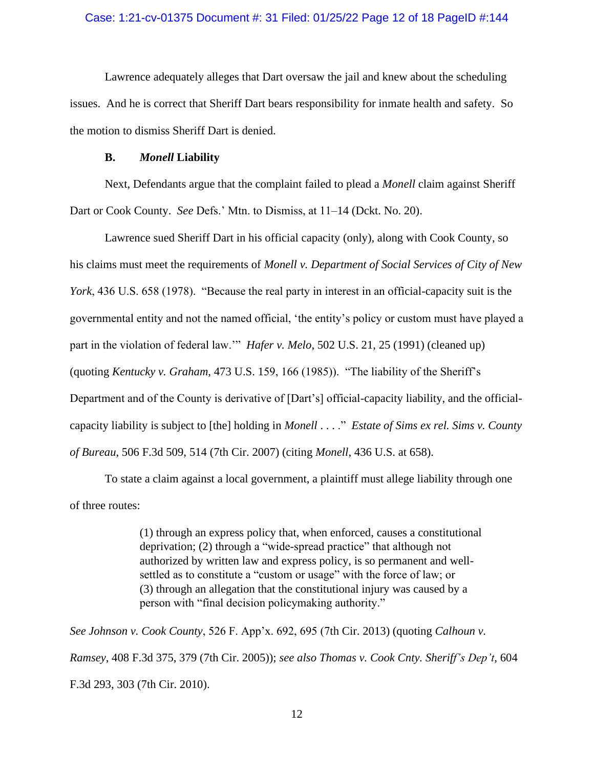## Case: 1:21-cv-01375 Document #: 31 Filed: 01/25/22 Page 12 of 18 PageID #:144

Lawrence adequately alleges that Dart oversaw the jail and knew about the scheduling issues. And he is correct that Sheriff Dart bears responsibility for inmate health and safety. So the motion to dismiss Sheriff Dart is denied.

#### **B.** *Monell* **Liability**

Next, Defendants argue that the complaint failed to plead a *Monell* claim against Sheriff Dart or Cook County. *See* Defs.' Mtn. to Dismiss, at 11–14 (Dckt. No. 20).

Lawrence sued Sheriff Dart in his official capacity (only), along with Cook County, so his claims must meet the requirements of *Monell v. Department of Social Services of City of New York*, 436 U.S. 658 (1978). "Because the real party in interest in an official-capacity suit is the governmental entity and not the named official, 'the entity's policy or custom must have played a part in the violation of federal law.'" *Hafer v. Melo*, 502 U.S. 21, 25 (1991) (cleaned up) (quoting *Kentucky v. Graham*, 473 U.S. 159, 166 (1985)). "The liability of the Sheriff's Department and of the County is derivative of [Dart's] official-capacity liability, and the officialcapacity liability is subject to [the] holding in *Monell* . . . ." *Estate of Sims ex rel. Sims v. County of Bureau*, 506 F.3d 509, 514 (7th Cir. 2007) (citing *Monell*, 436 U.S. at 658).

To state a claim against a local government, a plaintiff must allege liability through one of three routes:

> (1) through an express policy that, when enforced, causes a constitutional deprivation; (2) through a "wide-spread practice" that although not authorized by written law and express policy, is so permanent and wellsettled as to constitute a "custom or usage" with the force of law; or (3) through an allegation that the constitutional injury was caused by a person with "final decision policymaking authority."

*See Johnson v. Cook County*, 526 F. App'x. 692, 695 (7th Cir. 2013) (quoting *Calhoun v. Ramsey*, 408 F.3d 375, 379 (7th Cir. 2005)); *see also Thomas v. Cook Cnty. Sheriff's Dep't*, 604 F.3d 293, 303 (7th Cir. 2010).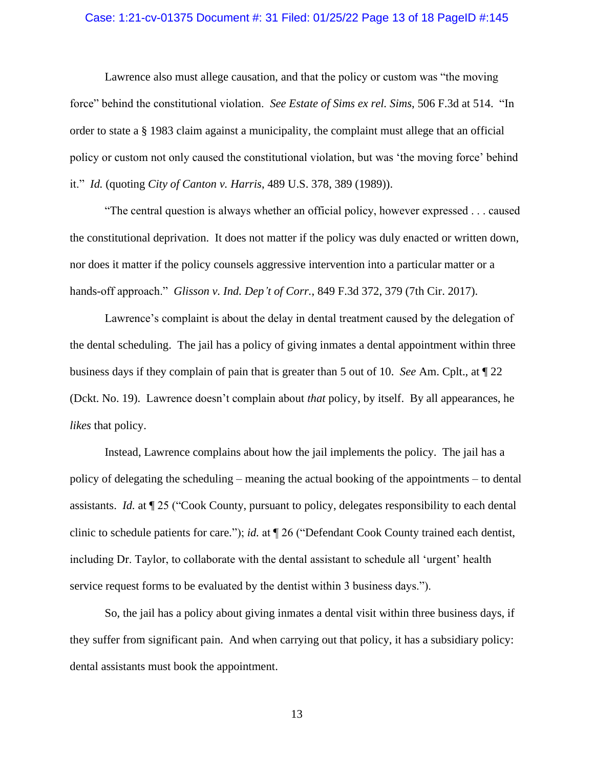### Case: 1:21-cv-01375 Document #: 31 Filed: 01/25/22 Page 13 of 18 PageID #:145

Lawrence also must allege causation, and that the policy or custom was "the moving force" behind the constitutional violation. *See Estate of Sims ex rel. Sims*, 506 F.3d at 514. "In order to state a § 1983 claim against a municipality, the complaint must allege that an official policy or custom not only caused the constitutional violation, but was 'the moving force' behind it." *Id.* (quoting *City of Canton v. Harris*, 489 U.S. 378, 389 (1989)).

"The central question is always whether an official policy, however expressed . . . caused the constitutional deprivation. It does not matter if the policy was duly enacted or written down, nor does it matter if the policy counsels aggressive intervention into a particular matter or a hands-off approach." *Glisson v. Ind. Dep't of Corr.*, 849 F.3d 372, 379 (7th Cir. 2017).

Lawrence's complaint is about the delay in dental treatment caused by the delegation of the dental scheduling. The jail has a policy of giving inmates a dental appointment within three business days if they complain of pain that is greater than 5 out of 10. *See* Am. Cplt., at ¶ 22 (Dckt. No. 19). Lawrence doesn't complain about *that* policy, by itself. By all appearances, he *likes* that policy.

Instead, Lawrence complains about how the jail implements the policy. The jail has a policy of delegating the scheduling – meaning the actual booking of the appointments – to dental assistants. *Id.* at ¶ 25 ("Cook County, pursuant to policy, delegates responsibility to each dental clinic to schedule patients for care."); *id.* at ¶ 26 ("Defendant Cook County trained each dentist, including Dr. Taylor, to collaborate with the dental assistant to schedule all 'urgent' health service request forms to be evaluated by the dentist within 3 business days.").

So, the jail has a policy about giving inmates a dental visit within three business days, if they suffer from significant pain. And when carrying out that policy, it has a subsidiary policy: dental assistants must book the appointment.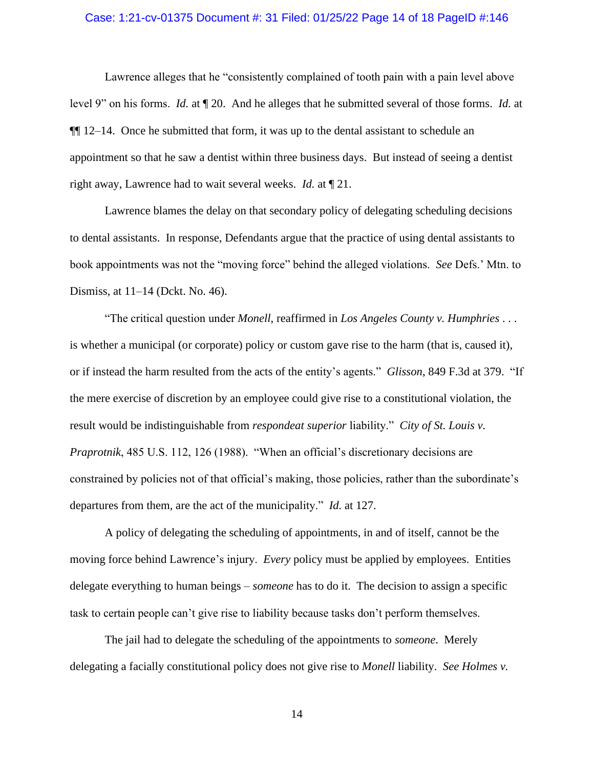#### Case: 1:21-cv-01375 Document #: 31 Filed: 01/25/22 Page 14 of 18 PageID #:146

Lawrence alleges that he "consistently complained of tooth pain with a pain level above level 9" on his forms. *Id.* at ¶ 20. And he alleges that he submitted several of those forms. *Id.* at  $\P$ [[12–14. Once he submitted that form, it was up to the dental assistant to schedule an appointment so that he saw a dentist within three business days. But instead of seeing a dentist right away, Lawrence had to wait several weeks. *Id.* at ¶ 21.

Lawrence blames the delay on that secondary policy of delegating scheduling decisions to dental assistants. In response, Defendants argue that the practice of using dental assistants to book appointments was not the "moving force" behind the alleged violations. *See* Defs.' Mtn. to Dismiss, at 11–14 (Dckt. No. 46).

"The critical question under *Monell*, reaffirmed in *Los Angeles County v. Humphries* . . . is whether a municipal (or corporate) policy or custom gave rise to the harm (that is, caused it), or if instead the harm resulted from the acts of the entity's agents." *Glisson*, 849 F.3d at 379. "If the mere exercise of discretion by an employee could give rise to a constitutional violation, the result would be indistinguishable from *respondeat superior* liability." *City of St. Louis v. Praprotnik*, 485 U.S. 112, 126 (1988). "When an official's discretionary decisions are constrained by policies not of that official's making, those policies, rather than the subordinate's departures from them, are the act of the municipality." *Id.* at 127.

A policy of delegating the scheduling of appointments, in and of itself, cannot be the moving force behind Lawrence's injury. *Every* policy must be applied by employees. Entities delegate everything to human beings – *someone* has to do it. The decision to assign a specific task to certain people can't give rise to liability because tasks don't perform themselves.

The jail had to delegate the scheduling of the appointments to *someone*. Merely delegating a facially constitutional policy does not give rise to *Monell* liability. *See Holmes v.*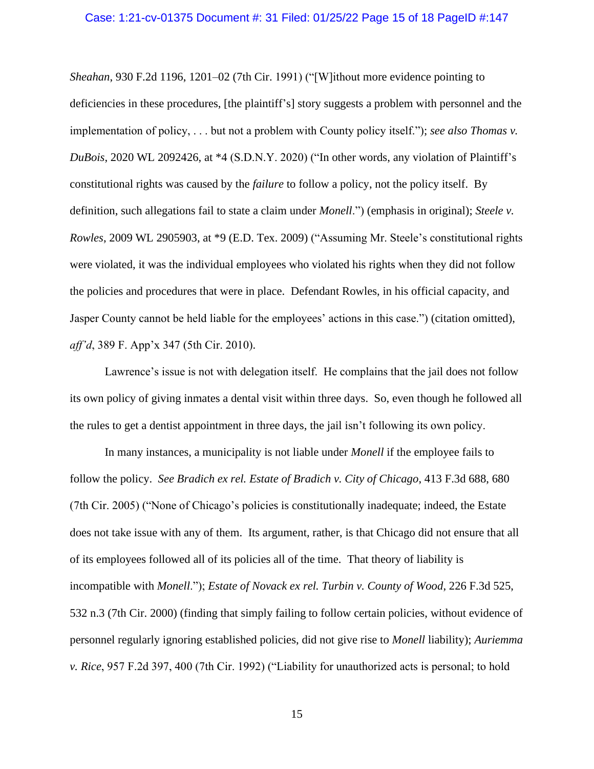#### Case: 1:21-cv-01375 Document #: 31 Filed: 01/25/22 Page 15 of 18 PageID #:147

*Sheahan*, 930 F.2d 1196, 1201–02 (7th Cir. 1991) ("[W]ithout more evidence pointing to deficiencies in these procedures, [the plaintiff's] story suggests a problem with personnel and the implementation of policy, . . . but not a problem with County policy itself."); *see also Thomas v. DuBois*, 2020 WL 2092426, at \*4 (S.D.N.Y. 2020) ("In other words, any violation of Plaintiff's constitutional rights was caused by the *failure* to follow a policy, not the policy itself. By definition, such allegations fail to state a claim under *Monell*.") (emphasis in original); *Steele v. Rowles*, 2009 WL 2905903, at \*9 (E.D. Tex. 2009) ("Assuming Mr. Steele's constitutional rights were violated, it was the individual employees who violated his rights when they did not follow the policies and procedures that were in place. Defendant Rowles, in his official capacity, and Jasper County cannot be held liable for the employees' actions in this case.") (citation omitted), *aff'd*, 389 F. App'x 347 (5th Cir. 2010).

Lawrence's issue is not with delegation itself. He complains that the jail does not follow its own policy of giving inmates a dental visit within three days. So, even though he followed all the rules to get a dentist appointment in three days, the jail isn't following its own policy.

In many instances, a municipality is not liable under *Monell* if the employee fails to follow the policy. *See Bradich ex rel. Estate of Bradich v. City of Chicago*, 413 F.3d 688, 680 (7th Cir. 2005) ("None of Chicago's policies is constitutionally inadequate; indeed, the Estate does not take issue with any of them. Its argument, rather, is that Chicago did not ensure that all of its employees followed all of its policies all of the time. That theory of liability is incompatible with *Monell*."); *Estate of Novack ex rel. Turbin v. County of Wood*, 226 F.3d 525, 532 n.3 (7th Cir. 2000) (finding that simply failing to follow certain policies, without evidence of personnel regularly ignoring established policies, did not give rise to *Monell* liability); *Auriemma v. Rice*, 957 F.2d 397, 400 (7th Cir. 1992) ("Liability for unauthorized acts is personal; to hold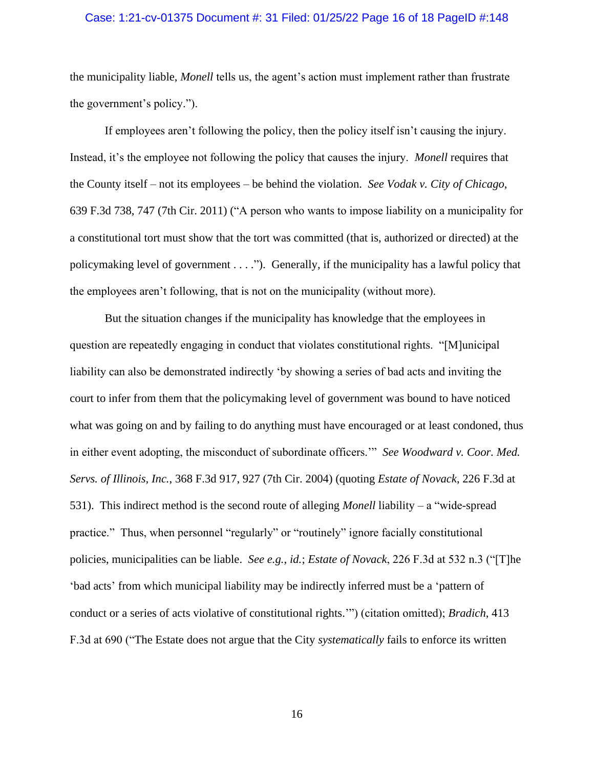## Case: 1:21-cv-01375 Document #: 31 Filed: 01/25/22 Page 16 of 18 PageID #:148

the municipality liable, *Monell* tells us, the agent's action must implement rather than frustrate the government's policy.").

If employees aren't following the policy, then the policy itself isn't causing the injury. Instead, it's the employee not following the policy that causes the injury. *Monell* requires that the County itself – not its employees – be behind the violation. *See Vodak v. City of Chicago*, 639 F.3d 738, 747 (7th Cir. 2011) ("A person who wants to impose liability on a municipality for a constitutional tort must show that the tort was committed (that is, authorized or directed) at the policymaking level of government . . . ."). Generally, if the municipality has a lawful policy that the employees aren't following, that is not on the municipality (without more).

But the situation changes if the municipality has knowledge that the employees in question are repeatedly engaging in conduct that violates constitutional rights. "[M]unicipal liability can also be demonstrated indirectly 'by showing a series of bad acts and inviting the court to infer from them that the policymaking level of government was bound to have noticed what was going on and by failing to do anything must have encouraged or at least condoned, thus in either event adopting, the misconduct of subordinate officers.'" *See Woodward v. Coor. Med. Servs. of Illinois, Inc.*, 368 F.3d 917, 927 (7th Cir. 2004) (quoting *Estate of Novack*, 226 F.3d at 531). This indirect method is the second route of alleging *Monell* liability – a "wide-spread practice." Thus, when personnel "regularly" or "routinely" ignore facially constitutional policies, municipalities can be liable. *See e.g.*, *id.*; *Estate of Novack*, 226 F.3d at 532 n.3 ("[T]he 'bad acts' from which municipal liability may be indirectly inferred must be a 'pattern of conduct or a series of acts violative of constitutional rights.'") (citation omitted); *Bradich*, 413 F.3d at 690 ("The Estate does not argue that the City *systematically* fails to enforce its written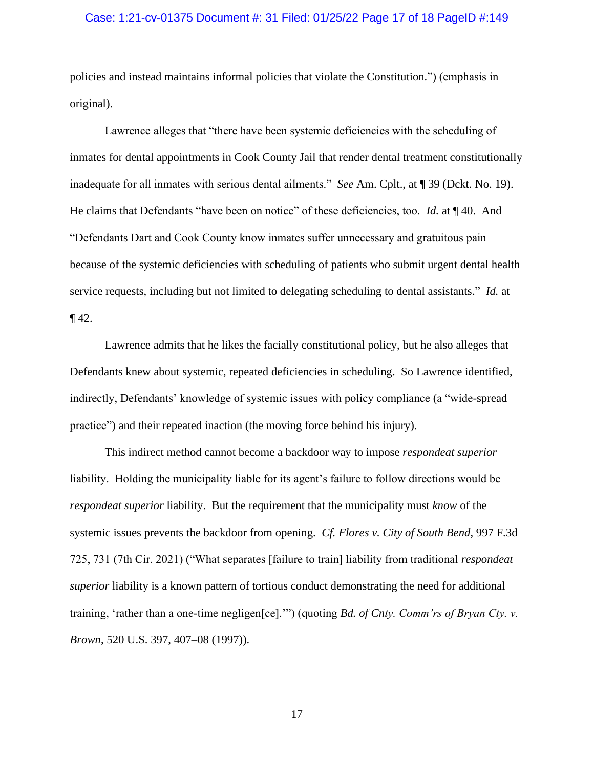## Case: 1:21-cv-01375 Document #: 31 Filed: 01/25/22 Page 17 of 18 PageID #:149

policies and instead maintains informal policies that violate the Constitution.") (emphasis in original).

Lawrence alleges that "there have been systemic deficiencies with the scheduling of inmates for dental appointments in Cook County Jail that render dental treatment constitutionally inadequate for all inmates with serious dental ailments." *See* Am. Cplt., at ¶ 39 (Dckt. No. 19). He claims that Defendants "have been on notice" of these deficiencies, too. *Id.* at ¶ 40. And "Defendants Dart and Cook County know inmates suffer unnecessary and gratuitous pain because of the systemic deficiencies with scheduling of patients who submit urgent dental health service requests, including but not limited to delegating scheduling to dental assistants." *Id.* at  $\P$  42.

Lawrence admits that he likes the facially constitutional policy, but he also alleges that Defendants knew about systemic, repeated deficiencies in scheduling. So Lawrence identified, indirectly, Defendants' knowledge of systemic issues with policy compliance (a "wide-spread practice") and their repeated inaction (the moving force behind his injury).

This indirect method cannot become a backdoor way to impose *respondeat superior*  liability. Holding the municipality liable for its agent's failure to follow directions would be *respondeat superior* liability. But the requirement that the municipality must *know* of the systemic issues prevents the backdoor from opening. *Cf. Flores v. City of South Bend*, 997 F.3d 725, 731 (7th Cir. 2021) ("What separates [failure to train] liability from traditional *respondeat superior* liability is a known pattern of tortious conduct demonstrating the need for additional training, 'rather than a one-time negligen[ce].'") (quoting *Bd. of Cnty. Comm'rs of Bryan Cty. v. Brown*, 520 U.S. 397, 407–08 (1997)).